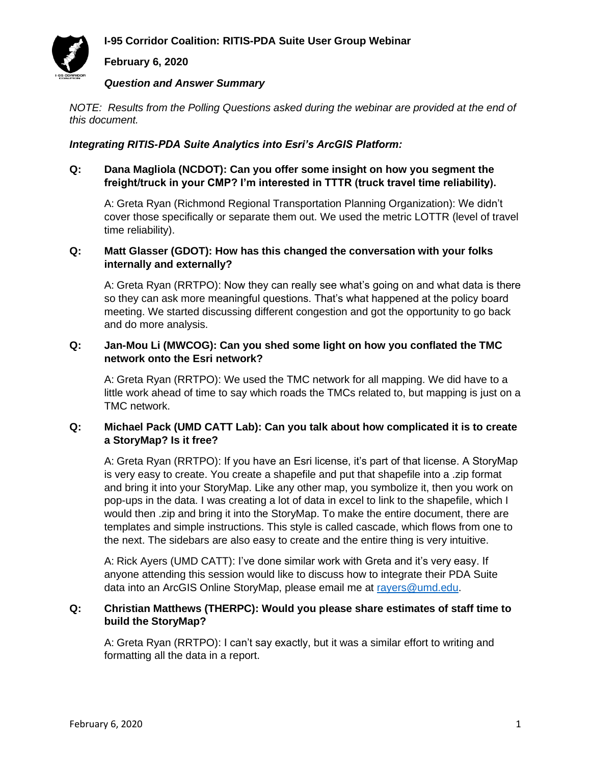# **I-95 Corridor Coalition: RITIS-PDA Suite User Group Webinar**

# **February 6, 2020**

#### *Question and Answer Summary*

*NOTE: Results from the Polling Questions asked during the webinar are provided at the end of this document.*

#### *Integrating RITIS-PDA Suite Analytics into Esri's ArcGIS Platform:*

#### **Q: Dana Magliola (NCDOT): Can you offer some insight on how you segment the freight/truck in your CMP? I'm interested in TTTR (truck travel time reliability).**

A: Greta Ryan (Richmond Regional Transportation Planning Organization): We didn't cover those specifically or separate them out. We used the metric LOTTR (level of travel time reliability).

#### **Q: Matt Glasser (GDOT): How has this changed the conversation with your folks internally and externally?**

A: Greta Ryan (RRTPO): Now they can really see what's going on and what data is there so they can ask more meaningful questions. That's what happened at the policy board meeting. We started discussing different congestion and got the opportunity to go back and do more analysis.

# **Q: Jan-Mou Li (MWCOG): Can you shed some light on how you conflated the TMC network onto the Esri network?**

A: Greta Ryan (RRTPO): We used the TMC network for all mapping. We did have to a little work ahead of time to say which roads the TMCs related to, but mapping is just on a TMC network.

# **Q: Michael Pack (UMD CATT Lab): Can you talk about how complicated it is to create a StoryMap? Is it free?**

A: Greta Ryan (RRTPO): If you have an Esri license, it's part of that license. A StoryMap is very easy to create. You create a shapefile and put that shapefile into a .zip format and bring it into your StoryMap. Like any other map, you symbolize it, then you work on pop-ups in the data. I was creating a lot of data in excel to link to the shapefile, which I would then .zip and bring it into the StoryMap. To make the entire document, there are templates and simple instructions. This style is called cascade, which flows from one to the next. The sidebars are also easy to create and the entire thing is very intuitive.

A: Rick Ayers (UMD CATT): I've done similar work with Greta and it's very easy. If anyone attending this session would like to discuss how to integrate their PDA Suite data into an ArcGIS Online StoryMap, please email me at [rayers@umd.edu.](mailto:rayers@umd.edu)

# **Q: Christian Matthews (THERPC): Would you please share estimates of staff time to build the StoryMap?**

A: Greta Ryan (RRTPO): I can't say exactly, but it was a similar effort to writing and formatting all the data in a report.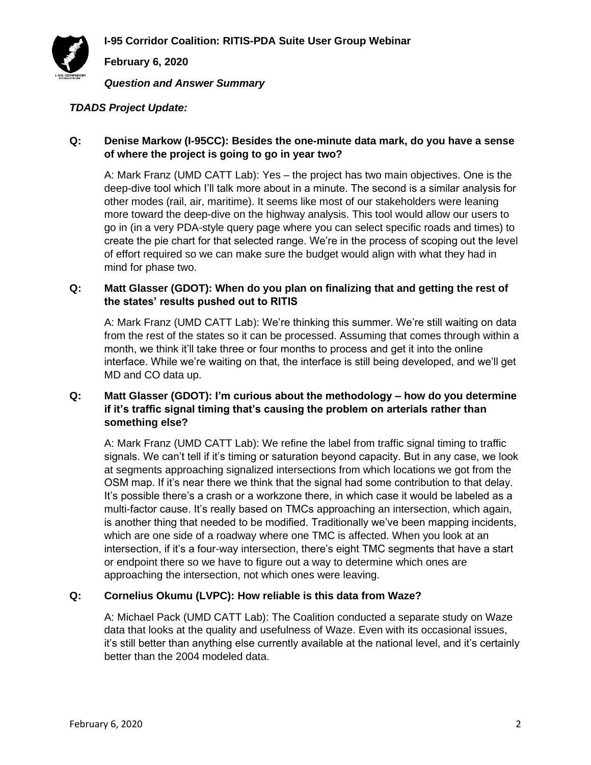**I-95 Corridor Coalition: RITIS-PDA Suite User Group Webinar**



**February 6, 2020**

*Question and Answer Summary*

## *TDADS Project Update:*

# **Q: Denise Markow (I-95CC): Besides the one-minute data mark, do you have a sense of where the project is going to go in year two?**

A: Mark Franz (UMD CATT Lab): Yes – the project has two main objectives. One is the deep-dive tool which I'll talk more about in a minute. The second is a similar analysis for other modes (rail, air, maritime). It seems like most of our stakeholders were leaning more toward the deep-dive on the highway analysis. This tool would allow our users to go in (in a very PDA-style query page where you can select specific roads and times) to create the pie chart for that selected range. We're in the process of scoping out the level of effort required so we can make sure the budget would align with what they had in mind for phase two.

# **Q: Matt Glasser (GDOT): When do you plan on finalizing that and getting the rest of the states' results pushed out to RITIS**

A: Mark Franz (UMD CATT Lab): We're thinking this summer. We're still waiting on data from the rest of the states so it can be processed. Assuming that comes through within a month, we think it'll take three or four months to process and get it into the online interface. While we're waiting on that, the interface is still being developed, and we'll get MD and CO data up.

## **Q: Matt Glasser (GDOT): I'm curious about the methodology – how do you determine if it's traffic signal timing that's causing the problem on arterials rather than something else?**

A: Mark Franz (UMD CATT Lab): We refine the label from traffic signal timing to traffic signals. We can't tell if it's timing or saturation beyond capacity. But in any case, we look at segments approaching signalized intersections from which locations we got from the OSM map. If it's near there we think that the signal had some contribution to that delay. It's possible there's a crash or a workzone there, in which case it would be labeled as a multi-factor cause. It's really based on TMCs approaching an intersection, which again, is another thing that needed to be modified. Traditionally we've been mapping incidents, which are one side of a roadway where one TMC is affected. When you look at an intersection, if it's a four-way intersection, there's eight TMC segments that have a start or endpoint there so we have to figure out a way to determine which ones are approaching the intersection, not which ones were leaving.

## **Q: Cornelius Okumu (LVPC): How reliable is this data from Waze?**

A: Michael Pack (UMD CATT Lab): The Coalition conducted a separate study on Waze data that looks at the quality and usefulness of Waze. Even with its occasional issues, it's still better than anything else currently available at the national level, and it's certainly better than the 2004 modeled data.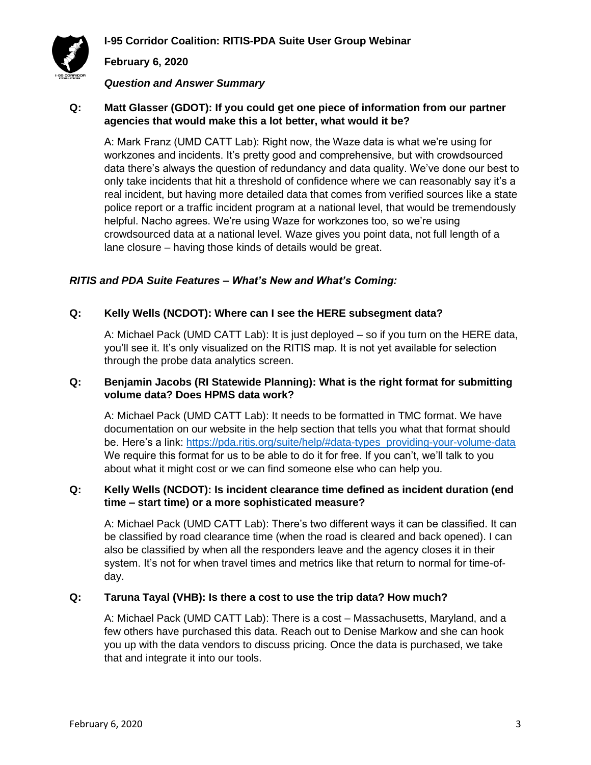

# **February 6, 2020**

#### *Question and Answer Summary*

#### **Q: Matt Glasser (GDOT): If you could get one piece of information from our partner agencies that would make this a lot better, what would it be?**

A: Mark Franz (UMD CATT Lab): Right now, the Waze data is what we're using for workzones and incidents. It's pretty good and comprehensive, but with crowdsourced data there's always the question of redundancy and data quality. We've done our best to only take incidents that hit a threshold of confidence where we can reasonably say it's a real incident, but having more detailed data that comes from verified sources like a state police report or a traffic incident program at a national level, that would be tremendously helpful. Nacho agrees. We're using Waze for workzones too, so we're using crowdsourced data at a national level. Waze gives you point data, not full length of a lane closure – having those kinds of details would be great.

#### *RITIS and PDA Suite Features – What's New and What's Coming:*

#### **Q: Kelly Wells (NCDOT): Where can I see the HERE subsegment data?**

A: Michael Pack (UMD CATT Lab): It is just deployed – so if you turn on the HERE data, you'll see it. It's only visualized on the RITIS map. It is not yet available for selection through the probe data analytics screen.

#### **Q: Benjamin Jacobs (RI Statewide Planning): What is the right format for submitting volume data? Does HPMS data work?**

A: Michael Pack (UMD CATT Lab): It needs to be formatted in TMC format. We have documentation on our website in the help section that tells you what that format should be. Here's a link: [https://pda.ritis.org/suite/help/#data-types\\_providing-your-volume-data](https://pda.ritis.org/suite/help/#data-types_providing-your-volume-data)  We require this format for us to be able to do it for free. If you can't, we'll talk to you about what it might cost or we can find someone else who can help you.

#### **Q: Kelly Wells (NCDOT): Is incident clearance time defined as incident duration (end time – start time) or a more sophisticated measure?**

A: Michael Pack (UMD CATT Lab): There's two different ways it can be classified. It can be classified by road clearance time (when the road is cleared and back opened). I can also be classified by when all the responders leave and the agency closes it in their system. It's not for when travel times and metrics like that return to normal for time-ofday.

#### **Q: Taruna Tayal (VHB): Is there a cost to use the trip data? How much?**

A: Michael Pack (UMD CATT Lab): There is a cost – Massachusetts, Maryland, and a few others have purchased this data. Reach out to Denise Markow and she can hook you up with the data vendors to discuss pricing. Once the data is purchased, we take that and integrate it into our tools.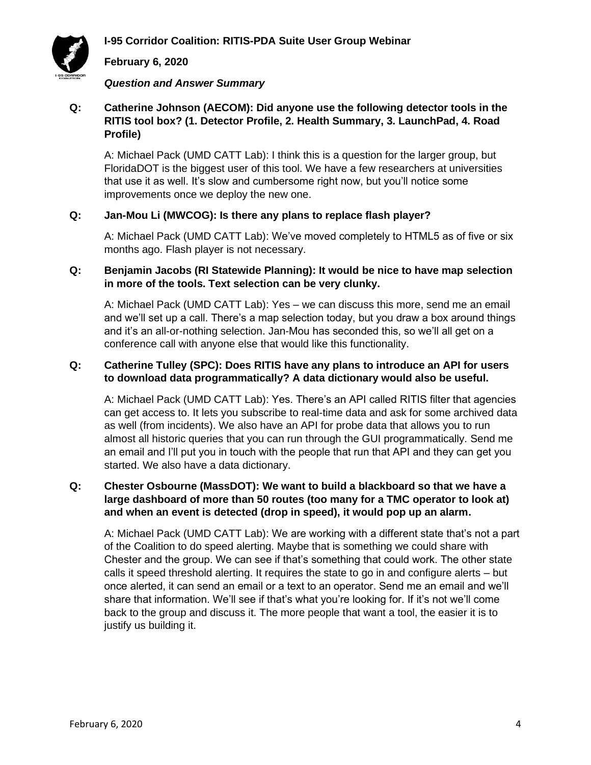



#### **February 6, 2020**

#### *Question and Answer Summary*

# **Q: Catherine Johnson (AECOM): Did anyone use the following detector tools in the RITIS tool box? (1. Detector Profile, 2. Health Summary, 3. LaunchPad, 4. Road Profile)**

A: Michael Pack (UMD CATT Lab): I think this is a question for the larger group, but FloridaDOT is the biggest user of this tool. We have a few researchers at universities that use it as well. It's slow and cumbersome right now, but you'll notice some improvements once we deploy the new one.

#### **Q: Jan-Mou Li (MWCOG): Is there any plans to replace flash player?**

A: Michael Pack (UMD CATT Lab): We've moved completely to HTML5 as of five or six months ago. Flash player is not necessary.

# **Q: Benjamin Jacobs (RI Statewide Planning): It would be nice to have map selection in more of the tools. Text selection can be very clunky.**

A: Michael Pack (UMD CATT Lab): Yes – we can discuss this more, send me an email and we'll set up a call. There's a map selection today, but you draw a box around things and it's an all-or-nothing selection. Jan-Mou has seconded this, so we'll all get on a conference call with anyone else that would like this functionality.

#### **Q: Catherine Tulley (SPC): Does RITIS have any plans to introduce an API for users to download data programmatically? A data dictionary would also be useful.**

A: Michael Pack (UMD CATT Lab): Yes. There's an API called RITIS filter that agencies can get access to. It lets you subscribe to real-time data and ask for some archived data as well (from incidents). We also have an API for probe data that allows you to run almost all historic queries that you can run through the GUI programmatically. Send me an email and I'll put you in touch with the people that run that API and they can get you started. We also have a data dictionary.

# **Q: Chester Osbourne (MassDOT): We want to build a blackboard so that we have a large dashboard of more than 50 routes (too many for a TMC operator to look at) and when an event is detected (drop in speed), it would pop up an alarm.**

A: Michael Pack (UMD CATT Lab): We are working with a different state that's not a part of the Coalition to do speed alerting. Maybe that is something we could share with Chester and the group. We can see if that's something that could work. The other state calls it speed threshold alerting. It requires the state to go in and configure alerts – but once alerted, it can send an email or a text to an operator. Send me an email and we'll share that information. We'll see if that's what you're looking for. If it's not we'll come back to the group and discuss it. The more people that want a tool, the easier it is to justify us building it.